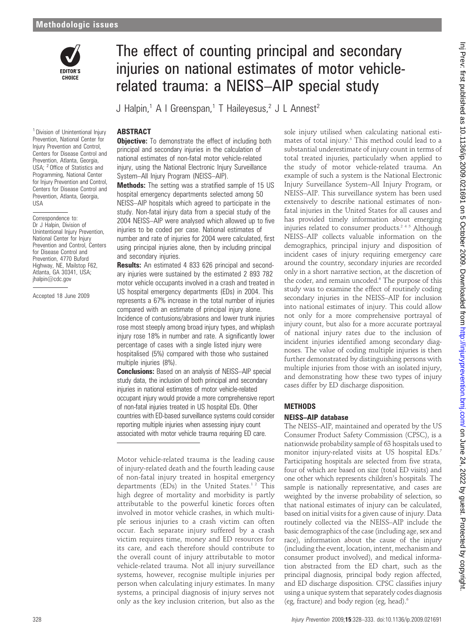

<sup>1</sup> Division of Unintentional Injury Prevention, National Center for Injury Prevention and Control, Centers for Disease Control and Prevention, Atlanta, Georgia, USA; <sup>2</sup> Office of Statistics and Programming, National Center for Injury Prevention and Control Centers for Disease Control and Prevention, Atlanta, Georgia,

**IISA** 

Correspondence to: Dr J Halpin, Division of Unintentional Injury Prevention, National Center for Injury Prevention and Control, Centers for Disease Control and Prevention, 4770 Buford Highway, NE, Mailstop F62, Atlanta, GA 30341, USA; jhalpin@cdc.gov

Accepted 18 June 2009

# The effect of counting principal and secondary injuries on national estimates of motor vehiclerelated trauma: a NEISS–AIP special study

J Halpin,<sup>1</sup> A I Greenspan,<sup>1</sup> T Haileyesus,<sup>2</sup> J L Annest<sup>2</sup>

# ABSTRACT

**Objective:** To demonstrate the effect of including both principal and secondary injuries in the calculation of national estimates of non-fatal motor vehicle-related injury, using the National Electronic Injury Surveillance System–All Injury Program (NEISS–AIP).

**Methods:** The setting was a stratified sample of 15 US hospital emergency departments selected among 50 NEISS–AIP hospitals which agreed to participate in the study. Non-fatal injury data from a special study of the 2004 NEISS–AIP were analysed which allowed up to five injuries to be coded per case. National estimates of number and rate of injuries for 2004 were calculated, first using principal injuries alone, then by including principal and secondary injuries.

Results: An estimated 4 833 626 principal and secondary injuries were sustained by the estimated 2 893 782 motor vehicle occupants involved in a crash and treated in US hospital emergency departments (EDs) in 2004. This represents a 67% increase in the total number of injuries compared with an estimate of principal injury alone. Incidence of contusions/abrasions and lower trunk injuries rose most steeply among broad injury types, and whiplash injury rose 18% in number and rate. A significantly lower percentage of cases with a single listed injury were hospitalised (5%) compared with those who sustained multiple injuries (8%).

Conclusions: Based on an analysis of NEISS–AIP special study data, the inclusion of both principal and secondary injuries in national estimates of motor vehicle-related occupant injury would provide a more comprehensive report of non-fatal injuries treated in US hospital EDs. Other countries with ED-based surveillance systems could consider reporting multiple injuries when assessing injury count associated with motor vehicle trauma requiring ED care.

Motor vehicle-related trauma is the leading cause of injury-related death and the fourth leading cause of non-fatal injury treated in hospital emergency departments (EDs) in the United States.<sup>12</sup> This high degree of mortality and morbidity is partly attributable to the powerful kinetic forces often involved in motor vehicle crashes, in which multiple serious injuries to a crash victim can often occur. Each separate injury suffered by a crash victim requires time, money and ED resources for its care, and each therefore should contribute to the overall count of injury attributable to motor vehicle-related trauma. Not all injury surveillance systems, however, recognise multiple injuries per person when calculating injury estimates. In many systems, a principal diagnosis of injury serves not only as the key inclusion criterion, but also as the sole injury utilised when calculating national estimates of total injury.<sup>3</sup> This method could lead to a substantial underestimate of injury count in terms of total treated injuries, particularly when applied to the study of motor vehicle-related trauma. An example of such a system is the National Electronic Injury Surveillance System–All Injury Program, or NEISS–AIP. This surveillance system has been used extensively to describe national estimates of nonfatal injuries in the United States for all causes and has provided timely information about emerging injuries related to consumer products.<sup>245</sup> Although NEISS–AIP collects valuable information on the demographics, principal injury and disposition of incident cases of injury requiring emergency care around the country, secondary injuries are recorded only in a short narrative section, at the discretion of the coder, and remain uncoded.<sup>6</sup> The purpose of this study was to examine the effect of routinely coding secondary injuries in the NEISS–AIP for inclusion into national estimates of injury. This could allow not only for a more comprehensive portrayal of injury count, but also for a more accurate portrayal of national injury rates due to the inclusion of incident injuries identified among secondary diagnoses. The value of coding multiple injuries is then further demonstrated by distinguishing persons with multiple injuries from those with an isolated injury, and demonstrating how these two types of injury cases differ by ED discharge disposition.

# **METHODS**

# NEISS–AIP database

The NEISS–AIP, maintained and operated by the US Consumer Product Safety Commission (CPSC), is a nationwide probability sample of 63 hospitals used to monitor injury-related visits at US hospital EDs.7 Participating hospitals are selected from five strata, four of which are based on size (total ED visits) and one other which represents children's hospitals. The sample is nationally representative, and cases are weighted by the inverse probability of selection, so that national estimates of injury can be calculated, based on initial visits for a given cause of injury. Data routinely collected via the NEISS–AIP include the basic demographics of the case (including age, sex and race), information about the cause of the injury (including the event, location, intent, mechanism and consumer product involved), and medical information abstracted from the ED chart, such as the principal diagnosis, principal body region affected, and ED discharge disposition. CPSC classifies injury using a unique system that separately codes diagnosis (eg, fracture) and body region (eg, head).<sup>6</sup>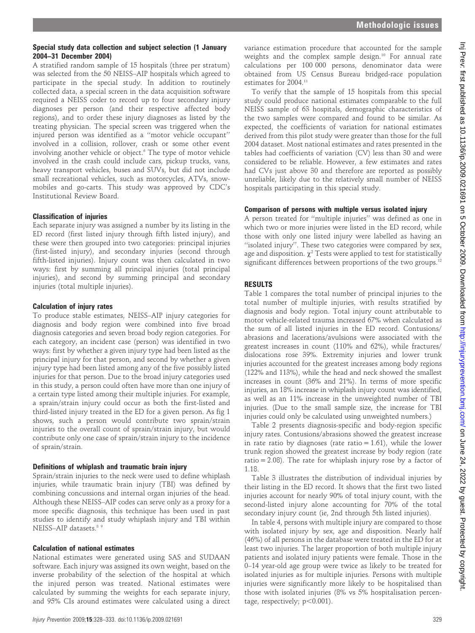#### Special study data collection and subject selection (1 January 2004–31 December 2004)

A stratified random sample of 15 hospitals (three per stratum) was selected from the 50 NEISS–AIP hospitals which agreed to participate in the special study. In addition to routinely collected data, a special screen in the data acquisition software required a NEISS coder to record up to four secondary injury diagnoses per person (and their respective affected body regions), and to order these injury diagnoses as listed by the treating physician. The special screen was triggered when the injured person was identified as a ''motor vehicle occupant'' involved in a collision, rollover, crash or some other event involving another vehicle or object.<sup>6</sup> The type of motor vehicle involved in the crash could include cars, pickup trucks, vans, heavy transport vehicles, buses and SUVs, but did not include small recreational vehicles, such as motorcycles, ATVs, snowmobiles and go-carts. This study was approved by CDC's Institutional Review Board.

#### Classification of injuries

Each separate injury was assigned a number by its listing in the ED record (first listed injury through fifth listed injury), and these were then grouped into two categories: principal injuries (first-listed injury), and secondary injuries (second through fifth-listed injuries). Injury count was then calculated in two ways: first by summing all principal injuries (total principal injuries), and second by summing principal and secondary injuries (total multiple injuries).

#### Calculation of injury rates

To produce stable estimates, NEISS–AIP injury categories for diagnosis and body region were combined into five broad diagnosis categories and seven broad body region categories. For each category, an incident case (person) was identified in two ways: first by whether a given injury type had been listed as the principal injury for that person, and second by whether a given injury type had been listed among any of the five possibly listed injuries for that person. Due to the broad injury categories used in this study, a person could often have more than one injury of a certain type listed among their multiple injuries. For example, a sprain/strain injury could occur as both the first-listed and third-listed injury treated in the ED for a given person. As fig 1 shows, such a person would contribute two sprain/strain injuries to the overall count of sprain/strain injury, but would contribute only one case of sprain/strain injury to the incidence of sprain/strain.

# Definitions of whiplash and traumatic brain injury

Sprain/strain injuries to the neck were used to define whiplash injuries, while traumatic brain injury (TBI) was defined by combining concussions and internal organ injuries of the head. Although these NEISS–AIP codes can serve only as a proxy for a more specific diagnosis, this technique has been used in past studies to identify and study whiplash injury and TBI within NEISS-AIP datasets.<sup>89</sup>

# Calculation of national estimates

National estimates were generated using SAS and SUDAAN software. Each injury was assigned its own weight, based on the inverse probability of the selection of the hospital at which the injured person was treated. National estimates were calculated by summing the weights for each separate injury, and 95% CIs around estimates were calculated using a direct

variance estimation procedure that accounted for the sample weights and the complex sample design.<sup>10</sup> For annual rate calculations per 100 000 persons, denominator data were obtained from US Census Bureau bridged-race population estimates for 2004.11

To verify that the sample of 15 hospitals from this special study could produce national estimates comparable to the full NEISS sample of 63 hospitals, demographic characteristics of the two samples were compared and found to be similar. As expected, the coefficients of variation for national estimates derived from this pilot study were greater than those for the full 2004 dataset. Most national estimates and rates presented in the tables had coefficients of variation (CV) less than 30 and were considered to be reliable. However, a few estimates and rates had CVs just above 30 and therefore are reported as possibly unreliable, likely due to the relatively small number of NEISS hospitals participating in this special study.

#### Comparison of persons with multiple versus isolated injury

A person treated for ''multiple injuries'' was defined as one in which two or more injuries were listed in the ED record, while those with only one listed injury were labelled as having an "isolated injury". These two categories were compared by sex, age and disposition.  $\chi^2$  Tests were applied to test for statistically significant differences between proportions of the two groups.<sup>12</sup>

# RESULTS

Table 1 compares the total number of principal injuries to the total number of multiple injuries, with results stratified by diagnosis and body region. Total injury count attributable to motor vehicle-related trauma increased 67% when calculated as the sum of all listed injuries in the ED record. Contusions/ abrasions and lacerations/avulsions were associated with the greatest increases in count (110% and 62%), while fractures/ dislocations rose 39%. Extremity injuries and lower trunk injuries accounted for the greatest increases among body regions (122% and 113%), while the head and neck showed the smallest increases in count (36% and 21%). In terms of more specific injuries, an 18% increase in whiplash injury count was identified, as well as an 11% increase in the unweighted number of TBI injuries. (Due to the small sample size, the increase for TBI injuries could only be calculated using unweighted numbers.)

Table 2 presents diagnosis-specific and body-region specific injury rates. Contusions/abrasions showed the greatest increase in rate ratio by diagnoses (rate ratio  $= 1.61$ ), while the lower trunk region showed the greatest increase by body region (rate ratio = 2.08). The rate for whiplash injury rose by a factor of 1.18.

Table 3 illustrates the distribution of individual injuries by their listing in the ED record. It shows that the first two listed injuries account for nearly 90% of total injury count, with the second-listed injury alone accounting for 70% of the total secondary injury count (ie, 2nd through 5th listed injuries).

In table 4, persons with multiple injury are compared to those with isolated injury by sex, age and disposition. Nearly half (46%) of all persons in the database were treated in the ED for at least two injuries. The larger proportion of both multiple injury patients and isolated injury patients were female. Those in the 0–14 year-old age group were twice as likely to be treated for isolated injuries as for multiple injuries. Persons with multiple injuries were significantly more likely to be hospitalised than those with isolated injuries (8% vs 5% hospitalisation percentage, respectively;  $p<0.001$ ).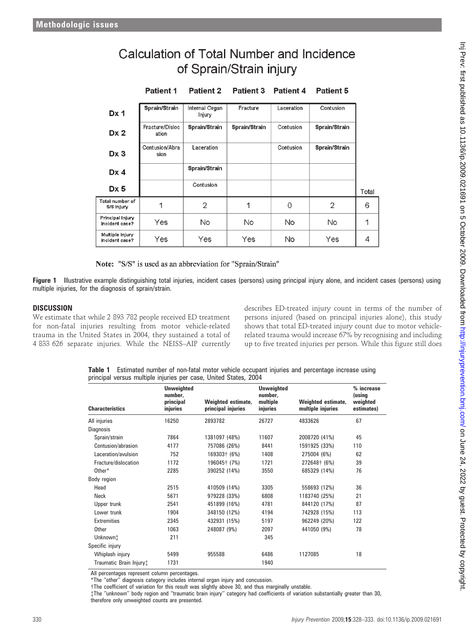# Calculation of Total Number and Incidence of Sprain/Strain injury

|                                    | <b>Patient 1</b>         | <b>Patient 2</b>                | Patient 3     | Patient 4  | <b>Patient 5</b> |       |
|------------------------------------|--------------------------|---------------------------------|---------------|------------|------------------|-------|
| Dx <sub>1</sub>                    | Sprain/Strain            | Internal Organ<br><b>Injury</b> | Fracture      | Laceration | Contusion        |       |
| Dx2                                | Fracture/Disloc<br>ation | Sprain/Strain                   | Sprain/Strain | Contusion  | Sprain/Strain    |       |
| Dx <sub>3</sub>                    | Contusion/Abra<br>sion   | Laceration                      |               | Contusion  | Sprain/Strain    |       |
| $Dx$ 4                             |                          | Sprain/Strain                   |               |            |                  |       |
| $Dx$ <sub>5</sub>                  |                          | Contusion                       |               |            |                  | Total |
| Total number of<br>S/S Injury      |                          | 2                               | 1             | 0          | 2                | 6     |
| Principal Injury<br>Incident case? | Yes                      | No                              | No            | No         | No.              | 1     |
| Multiple Injury<br>incident case?  | Yes                      | Yes                             | Yes           | No         | Yes              | 4     |

Note: "S/S" is used as an abbreviation for "Sprain/Strain"

Figure 1 Illustrative example distinguishing total injuries, incident cases (persons) using principal injury alone, and incident cases (persons) using multiple injuries, for the diagnosis of sprain/strain.

# **DISCUSSION**

We estimate that while 2 893 782 people received ED treatment for non-fatal injuries resulting from motor vehicle-related trauma in the United States in 2004, they sustained a total of 4 833 626 separate injuries. While the NEISS–AIP currently describes ED-treated injury count in terms of the number of persons injured (based on principal injuries alone), this study shows that total ED-treated injury count due to motor vehiclerelated trauma would increase 67% by recognising and including up to five treated injuries per person. While this figure still does

Table 1 Estimated number of non-fatal motor vehicle occupant injuries and percentage increase using principal versus multiple injuries per case, United States, 2004

| <b>Characteristics</b>  | <b>Unweighted</b><br>number,<br>principal<br>injuries | Weighted estimate,<br>principal injuries | <b>Unweighted</b><br>number.<br>multiple<br>injuries | Weighted estimate,<br>multiple injuries | % increase<br>(using<br>weighted<br>estimates) |
|-------------------------|-------------------------------------------------------|------------------------------------------|------------------------------------------------------|-----------------------------------------|------------------------------------------------|
| All injuries            | 16250                                                 | 2893782                                  | 26727                                                | 4833626                                 | 67                                             |
| <b>Diagnosis</b>        |                                                       |                                          |                                                      |                                         |                                                |
| Sprain/strain           | 7864                                                  | 1381097 (48%)                            | 11607                                                | 2008720 (41%)                           | 45                                             |
| Contusion/abrasion      | 4177                                                  | 757086 (26%)                             | 8441                                                 | 1591925 (33%)                           | 110                                            |
| Laceration/avulsion     | 752                                                   | 169303† (6%)                             | 1408                                                 | 275004 (6%)                             | 62                                             |
| Fracture/dislocation    | 1172                                                  | 196045† (7%)                             | 1721                                                 | 272648† (6%)                            | 39                                             |
| Other*                  | 2285                                                  | 390252 (14%)                             | 3550                                                 | 685329 (14%)                            | 76                                             |
| Body region             |                                                       |                                          |                                                      |                                         |                                                |
| Head                    | 2515                                                  | 410509 (14%)                             | 3305                                                 | 558693 (12%)                            | 36                                             |
| Neck                    | 5671                                                  | 979228 (33%)                             | 6808                                                 | 1183740 (25%)                           | 21                                             |
| Upper trunk             | 2541                                                  | 451899 (16%)                             | 4781                                                 | 844120 (17%)                            | 87                                             |
| Lower trunk             | 1904                                                  | 348150 (12%)                             | 4194                                                 | 742928 (15%)                            | 113                                            |
| <b>Extremities</b>      | 2345                                                  | 432931 (15%)                             | 5197                                                 | 962249 (20%)                            | 122                                            |
| Other                   | 1063                                                  | 248087 (9%)                              | 2097                                                 | 441050 (9%)                             | 78                                             |
| Unknown:                | 211                                                   |                                          | 345                                                  |                                         |                                                |
| Specific injury         |                                                       |                                          |                                                      |                                         |                                                |
| Whiplash injury         | 5499                                                  | 955588                                   | 6486                                                 | 1127085                                 | 18                                             |
| Traumatic Brain Injury: | 1731                                                  |                                          | 1940                                                 |                                         |                                                |

All percentages represent column percentages.

\*The ''other'' diagnosis category includes internal organ injury and concussion.

{The coefficient of variation for this result was slightly above 30, and thus marginally unstable.

{The ''unknown'' body region and ''traumatic brain injury'' category had coefficients of variation substantially greater than 30, therefore only unweighted counts are presented.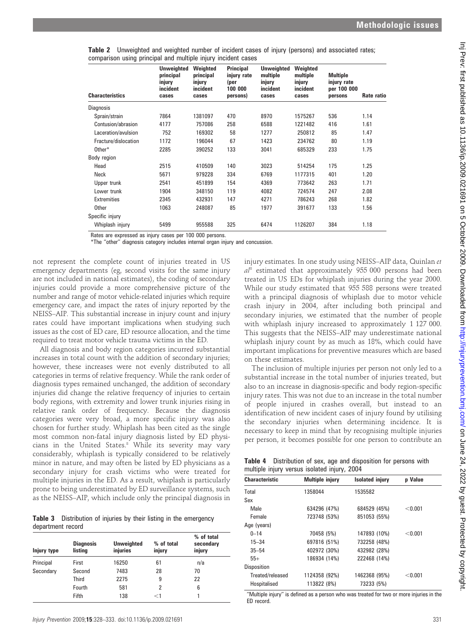Table 2 Unweighted and weighted number of incident cases of injury (persons) and associated rates; comparison using principal and multiple injury incident cases

| <b>Characteristics</b> | <b>Unweighted</b><br>principal<br>injury<br>incident<br>cases | Weighted<br>principal<br>injury<br>incident<br>cases | <b>Principal</b><br>injury rate<br>(per<br>100 000<br>persons) | <b>Unweighted</b><br>multiple<br>injury<br>incident<br>cases | Weighted<br>multiple<br>injury<br>incident<br>cases | <b>Multiple</b><br>injury rate<br>per 100 000<br>persons | Rate ratio |
|------------------------|---------------------------------------------------------------|------------------------------------------------------|----------------------------------------------------------------|--------------------------------------------------------------|-----------------------------------------------------|----------------------------------------------------------|------------|
| Diagnosis              |                                                               |                                                      |                                                                |                                                              |                                                     |                                                          |            |
| Sprain/strain          | 7864                                                          | 1381097                                              | 470                                                            | 8970                                                         | 1575267                                             | 536                                                      | 1.14       |
| Contusion/abrasion     | 4177                                                          | 757086                                               | 258                                                            | 6588                                                         | 1221482                                             | 416                                                      | 1.61       |
| Laceration/avulsion    | 752                                                           | 169302                                               | 58                                                             | 1277                                                         | 250812                                              | 85                                                       | 1.47       |
| Fracture/dislocation   | 1172                                                          | 196044                                               | 67                                                             | 1423                                                         | 234762                                              | 80                                                       | 1.19       |
| Other*                 | 2285                                                          | 390252                                               | 133                                                            | 3041                                                         | 685329                                              | 233                                                      | 1.75       |
| Body region            |                                                               |                                                      |                                                                |                                                              |                                                     |                                                          |            |
| Head                   | 2515                                                          | 410509                                               | 140                                                            | 3023                                                         | 514254                                              | 175                                                      | 1.25       |
| <b>Neck</b>            | 5671                                                          | 979228                                               | 334                                                            | 6769                                                         | 1177315                                             | 401                                                      | 1.20       |
| Upper trunk            | 2541                                                          | 451899                                               | 154                                                            | 4369                                                         | 773642                                              | 263                                                      | 1.71       |
| Lower trunk            | 1904                                                          | 348150                                               | 119                                                            | 4082                                                         | 724574                                              | 247                                                      | 2.08       |
| <b>Extremities</b>     | 2345                                                          | 432931                                               | 147                                                            | 4271                                                         | 786243                                              | 268                                                      | 1.82       |
| Other                  | 1063                                                          | 248087                                               | 85                                                             | 1977                                                         | 391677                                              | 133                                                      | 1.56       |
| Specific injury        |                                                               |                                                      |                                                                |                                                              |                                                     |                                                          |            |
| Whiplash injury        | 5499                                                          | 955588                                               | 325                                                            | 6474                                                         | 1126207                                             | 384                                                      | 1.18       |

Rates are expressed as injury cases per 100 000 persons.

\*The ''other'' diagnosis category includes internal organ injury and concussion.

not represent the complete count of injuries treated in US emergency departments (eg, second visits for the same injury are not included in national estimates), the coding of secondary injuries could provide a more comprehensive picture of the number and range of motor vehicle-related injuries which require emergency care, and impact the rates of injury reported by the NEISS–AIP. This substantial increase in injury count and injury rates could have important implications when studying such issues as the cost of ED care, ED resource allocation, and the time required to treat motor vehicle trauma victims in the ED.

All diagnosis and body region categories incurred substantial increases in total count with the addition of secondary injuries; however, these increases were not evenly distributed to all categories in terms of relative frequency. While the rank order of diagnosis types remained unchanged, the addition of secondary injuries did change the relative frequency of injuries to certain body regions, with extremity and lower trunk injuries rising in relative rank order of frequency. Because the diagnosis categories were very broad, a more specific injury was also chosen for further study. Whiplash has been cited as the single most common non-fatal injury diagnosis listed by ED physicians in the United States.<sup>8</sup> While its severity may vary considerably, whiplash is typically considered to be relatively minor in nature, and may often be listed by ED physicians as a secondary injury for crash victims who were treated for multiple injuries in the ED. As a result, whiplash is particularly prone to being underestimated by ED surveillance systems, such as the NEISS–AIP, which include only the principal diagnosis in

**Table 3** Distribution of injuries by their listing in the emergency department record

| Injury type | <b>Diagnosis</b><br>listing | <b>Unweighted</b><br>injuries | % of total<br>injury | % of total<br>secondary<br>injury |
|-------------|-----------------------------|-------------------------------|----------------------|-----------------------------------|
| Principal   | First                       | 16250                         | 61                   | n/a                               |
| Secondary   | Second                      | 7483                          | 28                   | 70                                |
|             | <b>Third</b>                | 2275                          | 9                    | 22                                |
|             | Fourth                      | 581                           | 2                    | 6                                 |
|             | Fifth                       | 138                           | $<$ 1                |                                   |

injury estimates. In one study using NEISS–AIP data, Quinlan et  $al^8$  estimated that approximately 955 000 persons had been treated in US EDs for whiplash injuries during the year 2000. While our study estimated that 955 588 persons were treated with a principal diagnosis of whiplash due to motor vehicle crash injury in 2004, after including both principal and secondary injuries, we estimated that the number of people with whiplash injury increased to approximately 1 127 000. This suggests that the NEISS–AIP may underestimate national whiplash injury count by as much as 18%, which could have important implications for preventive measures which are based on these estimates.

The inclusion of multiple injuries per person not only led to a substantial increase in the total number of injuries treated, but also to an increase in diagnosis-specific and body region-specific injury rates. This was not due to an increase in the total number of people injured in crashes overall, but instead to an identification of new incident cases of injury found by utilising the secondary injuries when determining incidence. It is necessary to keep in mind that by recognising multiple injuries per person, it becomes possible for one person to contribute an

Table 4 Distribution of sex, age and disposition for persons with multiple injury versus isolated injury, 2004

| <b>Multiple injury</b> | <b>Isolated injury</b> | p Value |  |
|------------------------|------------------------|---------|--|
| 1358044                | 1535582                |         |  |
|                        |                        |         |  |
| 634296 (47%)           | 684529 (45%)           | < 0.001 |  |
| 723748 (53%)           | 851053 (55%)           |         |  |
|                        |                        |         |  |
| 70458 (5%)             | 147893 (10%)           | < 0.001 |  |
| 697816 (51%)           | 732258 (48%)           |         |  |
| 402972 (30%)           | 432982 (28%)           |         |  |
| 186934 (14%)           | 222468 (14%)           |         |  |
|                        |                        |         |  |
| 1124358 (92%)          | 1462368 (95%)          | < 0.001 |  |
| 113822 (8%)            | 73233 (5%)             |         |  |
|                        |                        |         |  |

''Multiple injury'' is defined as a person who was treated for two or more injuries in the ED record.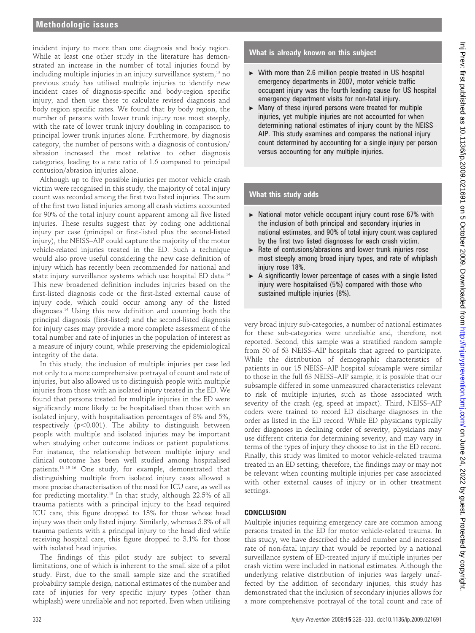incident injury to more than one diagnosis and body region. While at least one other study in the literature has demonstrated an increase in the number of total injuries found by including multiple injuries in an injury surveillance system.<sup>13</sup> no previous study has utilised multiple injuries to identify new incident cases of diagnosis-specific and body-region specific injury, and then use these to calculate revised diagnosis and body region specific rates. We found that by body region, the number of persons with lower trunk injury rose most steeply, with the rate of lower trunk injury doubling in comparison to principal lower trunk injuries alone. Furthermore, by diagnosis category, the number of persons with a diagnosis of contusion/ abrasion increased the most relative to other diagnosis categories, leading to a rate ratio of 1.6 compared to principal contusion/abrasion injuries alone.

Although up to five possible injuries per motor vehicle crash victim were recognised in this study, the majority of total injury count was recorded among the first two listed injuries. The sum of the first two listed injuries among all crash victims accounted for 90% of the total injury count apparent among all five listed injuries. These results suggest that by coding one additional injury per case (principal or first-listed plus the second-listed injury), the NEISS–AIP could capture the majority of the motor vehicle-related injuries treated in the ED. Such a technique would also prove useful considering the new case definition of injury which has recently been recommended for national and state injury surveillance systems which use hospital ED data.14 This new broadened definition includes injuries based on the first-listed diagnosis code or the first-listed external cause of injury code, which could occur among any of the listed diagnoses.14 Using this new definition and counting both the principal diagnosis (first-listed) and the second-listed diagnosis for injury cases may provide a more complete assessment of the total number and rate of injuries in the population of interest as a measure of injury count, while preserving the epidemiological integrity of the data.

In this study, the inclusion of multiple injuries per case led not only to a more comprehensive portrayal of count and rate of injuries, but also allowed us to distinguish people with multiple injuries from those with an isolated injury treated in the ED. We found that persons treated for multiple injuries in the ED were significantly more likely to be hospitalised than those with an isolated injury, with hospitalisation percentages of 8% and 5%, respectively ( $p<0.001$ ). The ability to distinguish between people with multiple and isolated injuries may be important when studying other outcome indices or patient populations. For instance, the relationship between multiple injury and clinical outcome has been well studied among hospitalised patients.13 15 16 One study, for example, demonstrated that distinguishing multiple from isolated injury cases allowed a more precise characterisation of the need for ICU care, as well as for predicting mortality.13 In that study, although 22.5% of all trauma patients with a principal injury to the head required ICU care, this figure dropped to 13% for those whose head injury was their only listed injury. Similarly, whereas 5.8% of all trauma patients with a principal injury to the head died while receiving hospital care, this figure dropped to 3.1% for those with isolated head injuries.

The findings of this pilot study are subject to several limitations, one of which is inherent to the small size of a pilot study. First, due to the small sample size and the stratified probability sample design, national estimates of the number and rate of injuries for very specific injury types (other than whiplash) were unreliable and not reported. Even when utilising

# What is already known on this subject

- $\triangleright$  With more than 2.6 million people treated in US hospital emergency departments in 2007, motor vehicle traffic occupant injury was the fourth leading cause for US hospital emergency department visits for non-fatal injury.
- $\triangleright$  Many of these injured persons were treated for multiple injuries, yet multiple injuries are not accounted for when determining national estimates of injury count by the NEISS– AIP. This study examines and compares the national injury count determined by accounting for a single injury per person versus accounting for any multiple injuries.

# What this study adds

- $\triangleright$  National motor vehicle occupant injury count rose 67% with the inclusion of both principal and secondary injuries in national estimates, and 90% of total injury count was captured by the first two listed diagnoses for each crash victim.
- $\triangleright$  Rate of contusions/abrasions and lower trunk injuries rose most steeply among broad injury types, and rate of whiplash injury rose 18%.
- $\triangleright$  A significantly lower percentage of cases with a single listed injury were hospitalised (5%) compared with those who sustained multiple injuries (8%).

very broad injury sub-categories, a number of national estimates for these sub-categories were unreliable and, therefore, not reported. Second, this sample was a stratified random sample from 50 of 63 NEISS–AIP hospitals that agreed to participate. While the distribution of demographic characteristics of patients in our 15 NEISS–AIP hospital subsample were similar to those in the full 63 NEISS–AIP sample, it is possible that our subsample differed in some unmeasured characteristics relevant to risk of multiple injuries, such as those associated with severity of the crash (eg, speed at impact). Third, NEISS–AIP coders were trained to record ED discharge diagnoses in the order as listed in the ED record. While ED physicians typically order diagnoses in declining order of severity, physicians may use different criteria for determining severity, and may vary in terms of the types of injury they choose to list in the ED record. Finally, this study was limited to motor vehicle-related trauma treated in an ED setting; therefore, the findings may or may not be relevant when counting multiple injuries per case associated with other external causes of injury or in other treatment settings.

# **CONCLUSION**

Multiple injuries requiring emergency care are common among persons treated in the ED for motor vehicle-related trauma. In this study, we have described the added number and increased rate of non-fatal injury that would be reported by a national surveillance system of ED-treated injury if multiple injuries per crash victim were included in national estimates. Although the underlying relative distribution of injuries was largely unaffected by the addition of secondary injuries, this study has demonstrated that the inclusion of secondary injuries allows for a more comprehensive portrayal of the total count and rate of